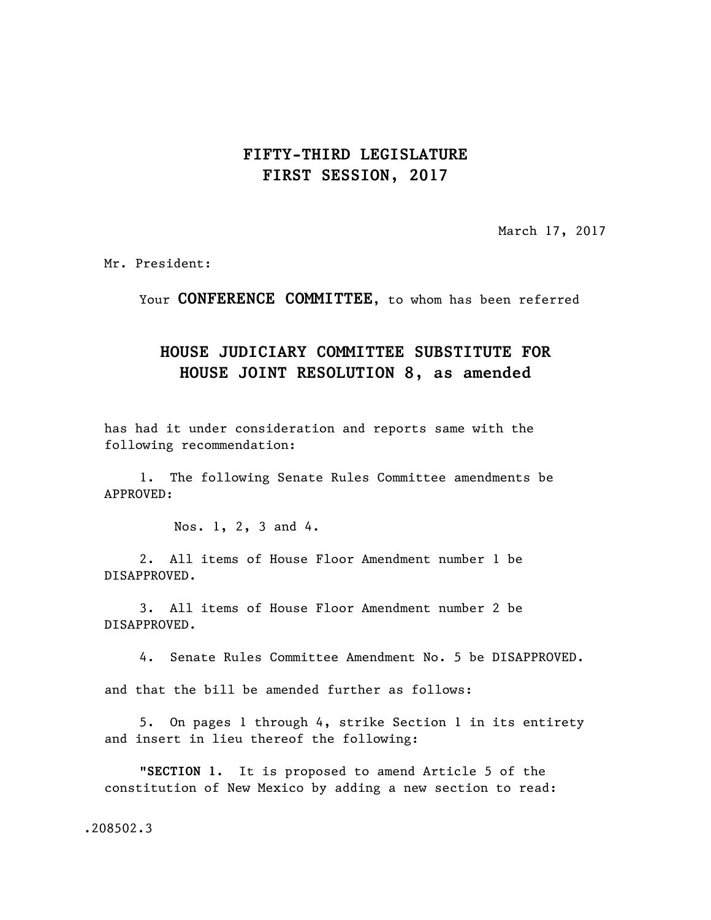## **FIFTY-THIRD LEGISLATURE FIRST SESSION, 2017**

March 17, 2017

Mr. President:

Your **CONFERENCE COMMITTEE**, to whom has been referred

## **HOUSE JUDICIARY COMMITTEE SUBSTITUTE FOR HOUSE JOINT RESOLUTION 8, as amended**

has had it under consideration and reports same with the following recommendation:

1. The following Senate Rules Committee amendments be APPROVED:

Nos. 1, 2, 3 and 4.

2. All items of House Floor Amendment number 1 be DISAPPROVED.

3. All items of House Floor Amendment number 2 be DISAPPROVED.

4. Senate Rules Committee Amendment No. 5 be DISAPPROVED.

and that the bill be amended further as follows:

5. On pages 1 through 4, strike Section 1 in its entirety and insert in lieu thereof the following:

"**SECTION 1.** It is proposed to amend Article 5 of the constitution of New Mexico by adding a new section to read:

.208502.3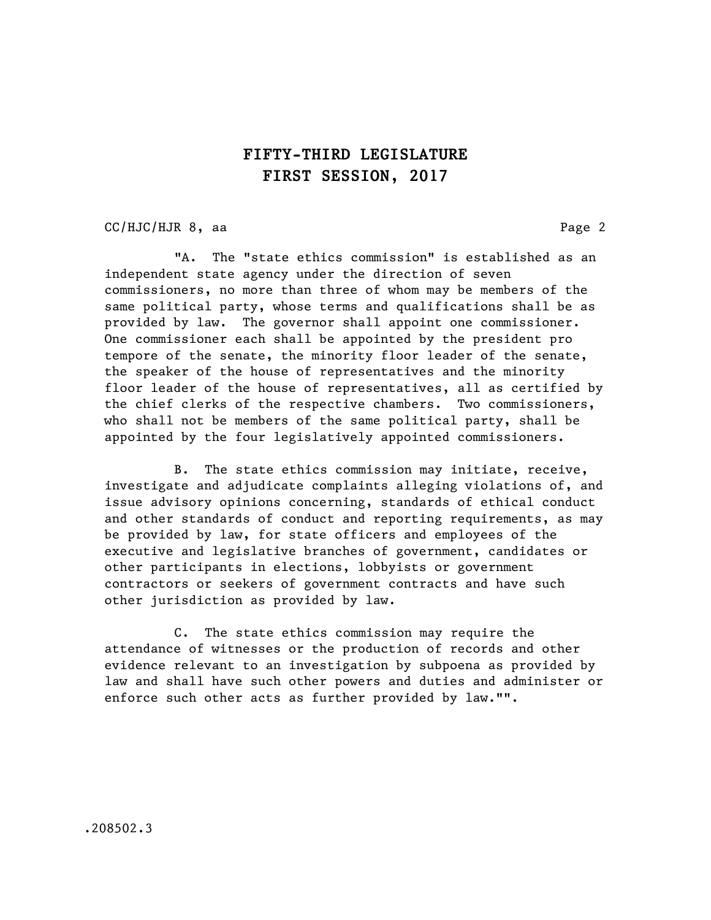## **FIFTY-THIRD LEGISLATURE FIRST SESSION, 2017**

CC/HJC/HJR 8, aa Page 2

"A. The "state ethics commission" is established as an independent state agency under the direction of seven commissioners, no more than three of whom may be members of the same political party, whose terms and qualifications shall be as provided by law. The governor shall appoint one commissioner. One commissioner each shall be appointed by the president pro tempore of the senate, the minority floor leader of the senate, the speaker of the house of representatives and the minority floor leader of the house of representatives, all as certified by the chief clerks of the respective chambers. Two commissioners, who shall not be members of the same political party, shall be appointed by the four legislatively appointed commissioners.

B. The state ethics commission may initiate, receive, investigate and adjudicate complaints alleging violations of, and issue advisory opinions concerning, standards of ethical conduct and other standards of conduct and reporting requirements, as may be provided by law, for state officers and employees of the executive and legislative branches of government, candidates or other participants in elections, lobbyists or government contractors or seekers of government contracts and have such other jurisdiction as provided by law.

C. The state ethics commission may require the attendance of witnesses or the production of records and other evidence relevant to an investigation by subpoena as provided by law and shall have such other powers and duties and administer or enforce such other acts as further provided by law."".